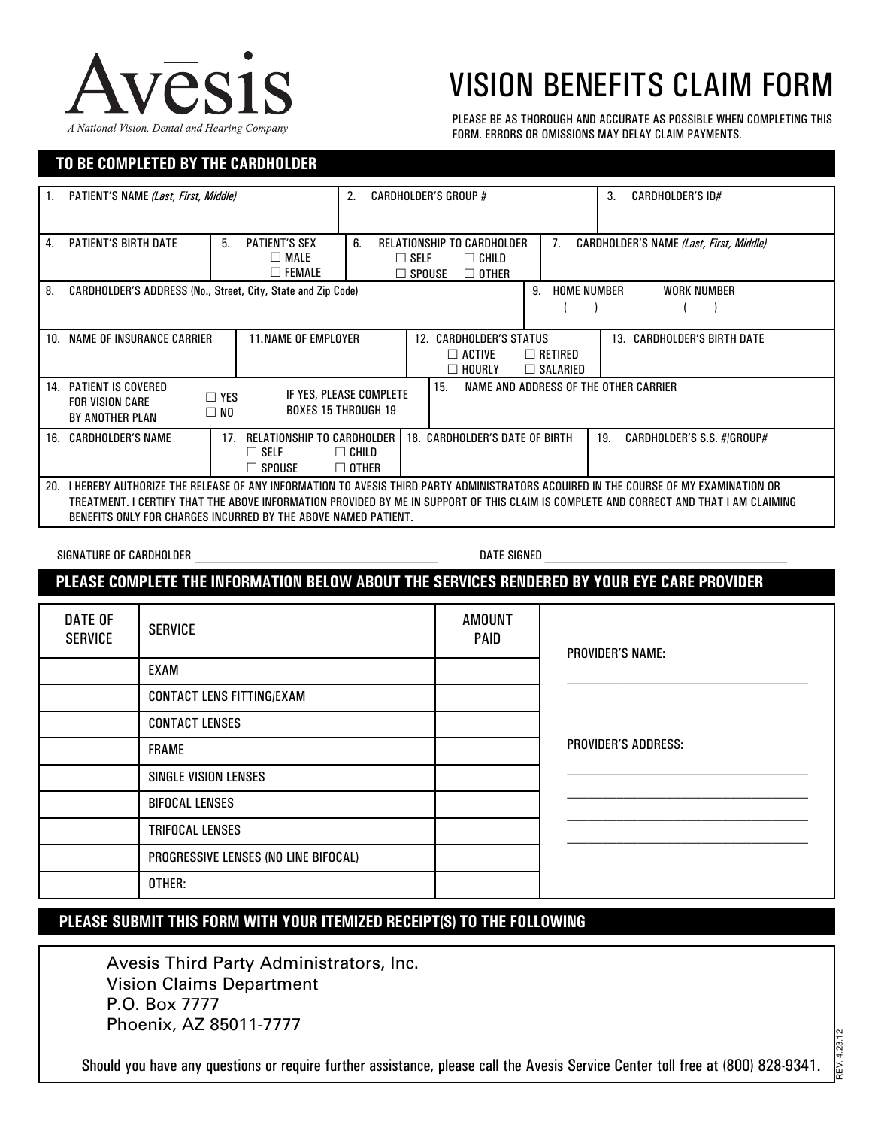

## VISION BENEFITS CLAIM FORM

PLEASE BE AS THOROUGH AND ACCURATE AS POSSIBLE WHEN COMPLETING THIS FORM. ERRORS OR OMISSIONS MAY DELAY CLAIM PAYMENTS.

## **TO BE COMPLETED BY THE CARDHOLDER**

| PATIENT'S NAME (Last, First, Middle)<br>1.                                                                                                                                                                                                                                                                                                         |                                                            |                                                                                                | <b>CARDHOLDER'S GROUP #</b><br>2.                                                                            |                                                                  |                             | <b>CARDHOLDER'S ID#</b><br>3.           |  |
|----------------------------------------------------------------------------------------------------------------------------------------------------------------------------------------------------------------------------------------------------------------------------------------------------------------------------------------------------|------------------------------------------------------------|------------------------------------------------------------------------------------------------|--------------------------------------------------------------------------------------------------------------|------------------------------------------------------------------|-----------------------------|-----------------------------------------|--|
| 4. PATIENT'S BIRTH DATE                                                                                                                                                                                                                                                                                                                            | <b>PATIENT'S SEX</b><br>5.<br>$\Box$ MALE<br>$\Box$ FEMALE |                                                                                                | RELATIONSHIP TO CARDHOLDER<br>6.<br>7.<br>$\Box$ Self<br>$\Box$ Child<br>$\square$ spouse<br>$\square$ OTHER |                                                                  |                             | CARDHOLDER'S NAME (Last, First, Middle) |  |
|                                                                                                                                                                                                                                                                                                                                                    |                                                            | 8. CARDHOLDER'S ADDRESS (No., Street, City, State and Zip Code)                                |                                                                                                              | 9. HOME NUMBER<br>$\sqrt{2}$                                     |                             | <b>WORK NUMBER</b><br>$\lambda$<br>(    |  |
| 10. NAME OF INSURANCE CARRIER<br><b>11.NAME OF EMPLOYER</b>                                                                                                                                                                                                                                                                                        |                                                            | 12. CARDHOLDER'S STATUS<br>$\Box$ active<br>$\Box$ Retired<br>$\Box$ hourly<br>$\Box$ Salaried |                                                                                                              |                                                                  | 13. CARDHOLDER'S BIRTH DATE |                                         |  |
| 14. PATIENT IS COVERED<br>NAME AND ADDRESS OF THE OTHER CARRIER<br>15.<br>IF YES, PLEASE COMPLETE<br>$\Box$ YES<br><b>FOR VISION CARE</b><br><b>BOXES 15 THROUGH 19</b><br>$\square$ NO<br>BY ANOTHER PLAN                                                                                                                                         |                                                            |                                                                                                |                                                                                                              |                                                                  |                             |                                         |  |
| <b>16. CARDHOLDER'S NAME</b><br>17. RELATIONSHIP TO CARDHOLDER I<br>$\Box$ SELF<br>$\Box$ Spouse                                                                                                                                                                                                                                                   |                                                            |                                                                                                | $\Box$ Child<br>$\Box$ OTHER                                                                                 | 18. CARDHOLDER'S DATE OF BIRTH<br>19. CARDHOLDER'S S.S. #/GROUP# |                             |                                         |  |
| 20. I HEREBY AUTHORIZE THE RELEASE OF ANY INFORMATION TO AVESIS THIRD PARTY ADMINISTRATORS ACQUIRED IN THE COURSE OF MY EXAMINATION OR<br>TREATMENT. I CERTIFY THAT THE ABOVE INFORMATION PROVIDED BY ME IN SUPPORT OF THIS CLAIM IS COMPLETE AND CORRECT AND THAT I AM CLAIMING<br>BENEFITS ONLY FOR CHARGES INCURRED BY THE ABOVE NAMED PATIENT. |                                                            |                                                                                                |                                                                                                              |                                                                  |                             |                                         |  |
| <b>DATE SIGNED</b><br>SIGNATURE OF CARDHOLDER                                                                                                                                                                                                                                                                                                      |                                                            |                                                                                                |                                                                                                              |                                                                  |                             |                                         |  |
| PLEASE COMPLETE THE INFORMATION BELOW ABOUT THE SERVICES RENDERED BY YOUR EYE CARE PROVIDER                                                                                                                                                                                                                                                        |                                                            |                                                                                                |                                                                                                              |                                                                  |                             |                                         |  |
| <b>DATE OF</b><br><b>SERVICE</b>                                                                                                                                                                                                                                                                                                                   | <b>SERVICE</b>                                             |                                                                                                | <b>AMOUNT</b><br>PAID                                                                                        |                                                                  |                             | <b>PROVIDER'S NAME:</b>                 |  |
|                                                                                                                                                                                                                                                                                                                                                    | <b>EXAM</b>                                                |                                                                                                |                                                                                                              |                                                                  |                             |                                         |  |
|                                                                                                                                                                                                                                                                                                                                                    | <b>CONTACT LENS FITTING/EXAM</b>                           |                                                                                                |                                                                                                              |                                                                  |                             |                                         |  |
|                                                                                                                                                                                                                                                                                                                                                    | <b>CONTACT LENSES</b>                                      |                                                                                                |                                                                                                              |                                                                  |                             | PROVIDER'S ADDRESS:                     |  |
|                                                                                                                                                                                                                                                                                                                                                    | <b>FRAME</b>                                               |                                                                                                |                                                                                                              |                                                                  |                             |                                         |  |
|                                                                                                                                                                                                                                                                                                                                                    | <b>SINGLE VISION LENSES</b>                                |                                                                                                |                                                                                                              |                                                                  |                             |                                         |  |
|                                                                                                                                                                                                                                                                                                                                                    | <b>BIFOCAL LENSES</b>                                      |                                                                                                |                                                                                                              |                                                                  |                             |                                         |  |
|                                                                                                                                                                                                                                                                                                                                                    | TRIFOCAL LENSES                                            |                                                                                                |                                                                                                              |                                                                  |                             |                                         |  |
|                                                                                                                                                                                                                                                                                                                                                    | PROGRESSIVE LENSES (NO LINE BIFOCAL)                       |                                                                                                |                                                                                                              |                                                                  |                             |                                         |  |
|                                                                                                                                                                                                                                                                                                                                                    | OTHER:                                                     |                                                                                                |                                                                                                              |                                                                  |                             |                                         |  |

## **PLEASE SUBMIT THIS FORM WITH YOUR ITEMIZED RECEIPT(S) TO THE FOLLOWING**

Avesis Third Party Administrators, Inc. Vision Claims Department P.O. Box 7777 Phoenix, AZ 85011-7777

Should you have any questions or require further assistance, please call the Avesis Service Center toll free at (800) 828-9341.